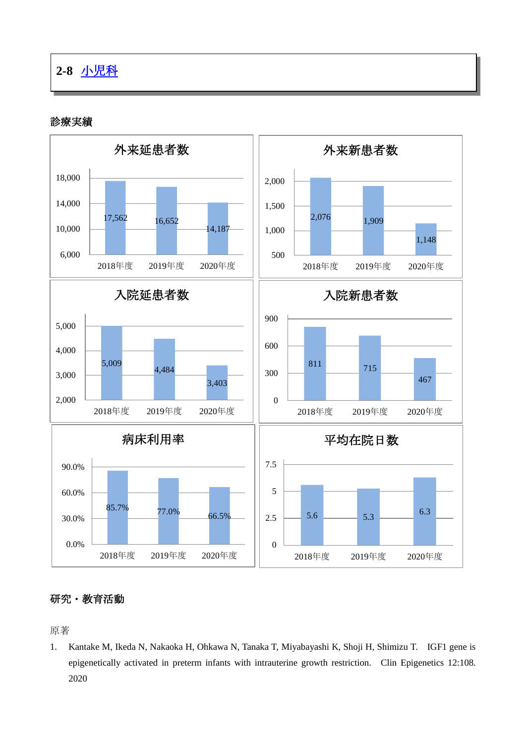## **2-8** [小児科](http://www.hosp-shizuoka.juntendo.ac.jp/consult/departments/pediatrics.html)

診療実績



## 研究・教育活動

原著

1. Kantake M, Ikeda N, Nakaoka H, Ohkawa N, Tanaka T, Miyabayashi K, Shoji H, Shimizu T. IGF1 gene is epigenetically activated in preterm infants with intrauterine growth restriction. Clin Epigenetics 12:108. 2020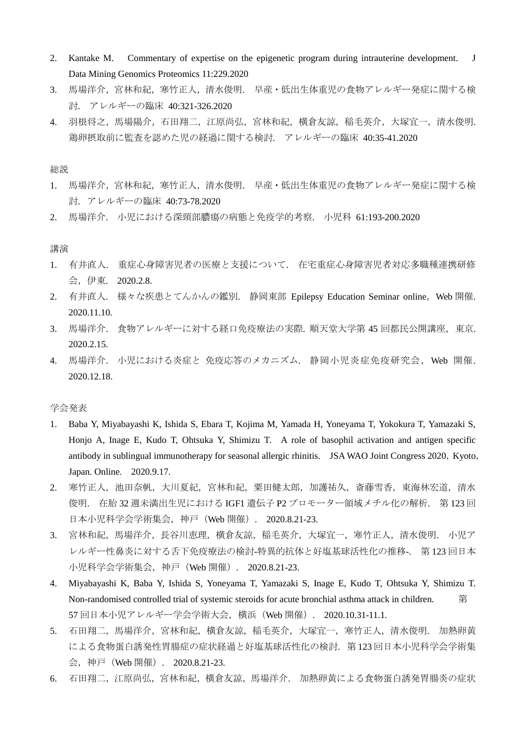- 2. Kantake M. Commentary of expertise on the epigenetic program during intrauterine development. J Data Mining Genomics Proteomics 11:229.2020
- 3. 馬場洋介,宮林和紀,寒竹正人,清水俊明. 早産·低出生体重児の食物アレルギー発症に関する検 討. アレルギーの臨床 40:321-326.2020
- 4. 羽根将之,馬場陽介,石田翔二,江原尚弘,宮林和紀,横倉友諒,稲毛英介,大塚宜一,清水俊明. 鶏卵摂取前に監査を認めた児の経過に関する検討. アレルギーの臨床 40:35-41.2020

総説

- 1. 馬場洋介,宮林和紀,寒竹正人,清水俊明. 早産·低出生体重児の食物アレルギー発症に関する検 討. アレルギーの臨床 40:73-78.2020
- 2. 馬場洋介. 小児における深頸部膿瘍の病態と免疫学的考察. 小児科 61:193-200.2020

講演

- 1. 有井直人. 重症心身障害児者の医療と支援について. 在宅重症心身障害児者対応多職種連携研修 会,伊東. 2020.2.8.
- 2. 有井直人. 様々な疾患とてんかんの鑑別. 静岡東部 Epilepsy Education Seminar online, Web 開催. 2020.11.10.
- 3. 馬場洋介. 食物アレルギーに対する経口免疫療法の実際. 順天堂大学第 45 回都民公開講座,東京. 2020.2.15.
- 4. 馬場洋介. 小児における炎症と 免疫応答のメカニズム. 静岡小児炎症免疫研究会, Web 開催. 2020.12.18.

学会発表

- 1. Baba Y, Miyabayashi K, Ishida S, Ebara T, Kojima M, Yamada H, Yoneyama T, Yokokura T, Yamazaki S, Honjo A, Inage E, Kudo T, Ohtsuka Y, Shimizu T. A role of basophil activation and antigen specific antibody in sublingual immunotherapy for seasonal allergic rhinitis. JSA WAO Joint Congress 2020, Kyoto, Japan. Online. 2020.9.17.
- 2. 寒竹正人,池田奈帆,大川夏紀,宮林和紀,粟田健太郎,加護祐久,斎藤雪香,東海林宏道,清水 俊明. 在胎 32 週未満出生児における IGF1 遺伝子 P2 プロモーター領域メチル化の解析. 第 123 回 日本小児科学会学術集会,神戸(Web 開催). 2020.8.21-23.
- 3. 宮林和紀,馬場洋介,長谷川恵理,横倉友諒,稲毛英介,大塚宜一,寒竹正人,清水俊明. 小児ア レルギー性鼻炎に対する舌下免疫療法の検討-特異的抗体と好塩基球活性化の推移-. 第 123 回日本 小児科学会学術集会,神戸(Web 開催). 2020.8.21-23.
- 4. Miyabayashi K, Baba Y, Ishida S, Yoneyama T, Yamazaki S, Inage E, Kudo T, Ohtsuka Y, Shimizu T. Non-randomised controlled trial of systemic steroids for acute bronchial asthma attack in children. 第 57 回日本小児アレルギー学会学術大会,横浜(Web 開催). 2020.10.31-11.1.
- 5. 石田翔二,馬場洋介,宮林和紀,横倉友諒,稲毛英介,大塚宜一,寒竹正人,清水俊明. 加熱卵黄 による食物蛋白誘発性胃腸症の症状経過と好塩基球活性化の検討. 第 123 回日本小児科学会学術集 会,神戸(Web 開催). 2020.8.21-23.
- 6. 石田翔二,江原尚弘,宮林和紀,横倉友諒,馬場洋介. 加熱卵黄による食物蛋白誘発胃腸炎の症状